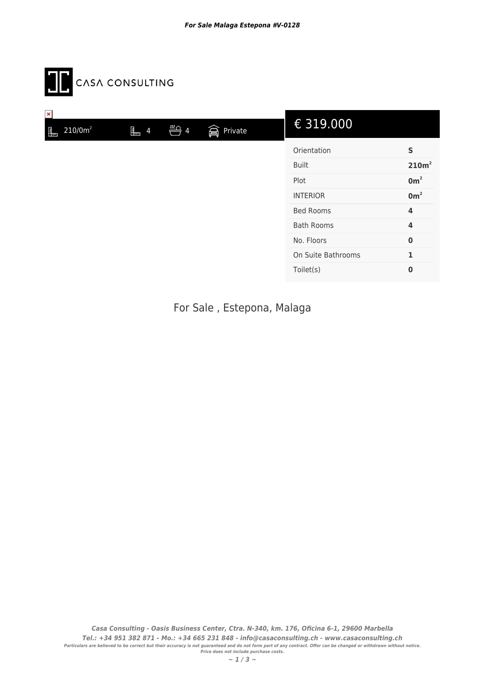

| ×        |            |  |                   |
|----------|------------|--|-------------------|
| Ę<br>Poz | $210/0m^2$ |  | 1 4 3 4 盒 Private |
|          |            |  |                   |
|          |            |  |                   |
|          |            |  |                   |
|          |            |  |                   |
|          |            |  |                   |
|          |            |  |                   |
|          |            |  |                   |

## $€ 319.000$

| Orientation        | S                 |
|--------------------|-------------------|
| <b>Built</b>       | 210m <sup>2</sup> |
| Plot               | $\mathbf{Om}^2$   |
| <b>INTERIOR</b>    | 0 <sup>m²</sup>   |
| <b>Bed Rooms</b>   | 4                 |
| <b>Bath Rooms</b>  | 4                 |
| No. Floors         | 0                 |
| On Suite Bathrooms | 1                 |
| Toilet(s)          |                   |

For Sale , Estepona, Malaga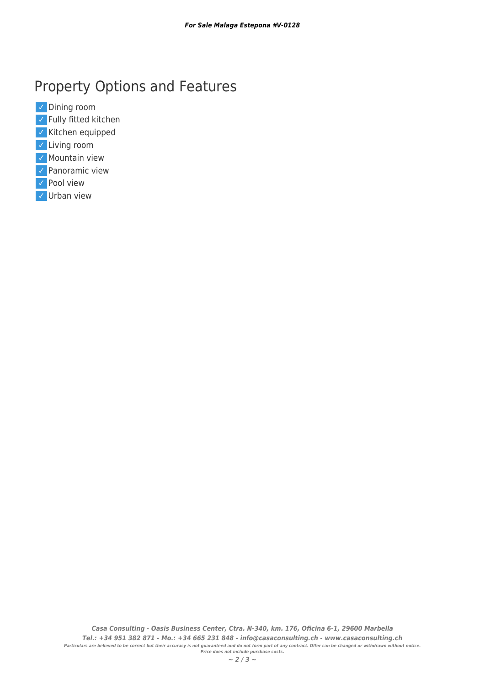## Property Options and Features

- ✓ Dining room ✓ Fully fitted kitchen ✓ Kitchen equipped ✓ Living room ✓ Mountain view ✓ Panoramic view ✓ Pool view
- ✓ Urban view